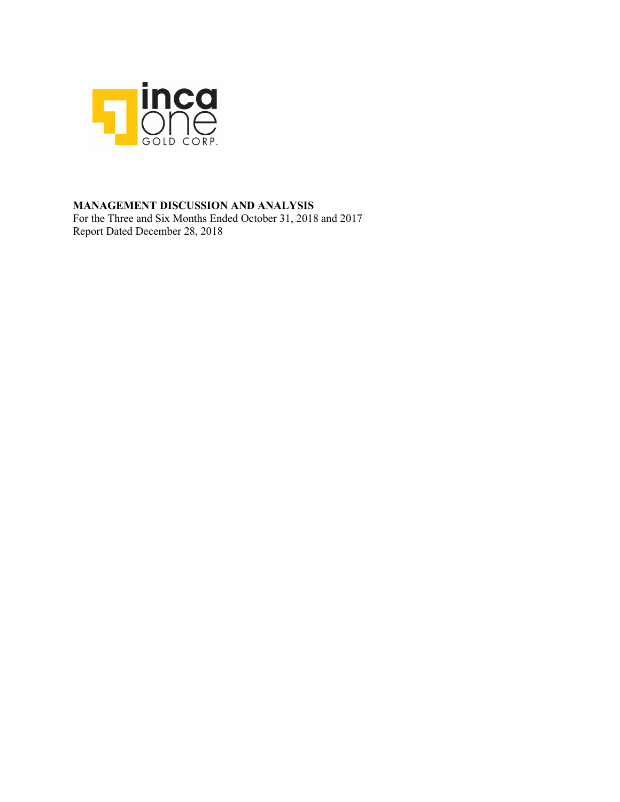

# **MANAGEMENT DISCUSSION AND ANALYSIS**

For the Three and Six Months Ended October 31, 2018 and 2017 Report Dated December 28, 2018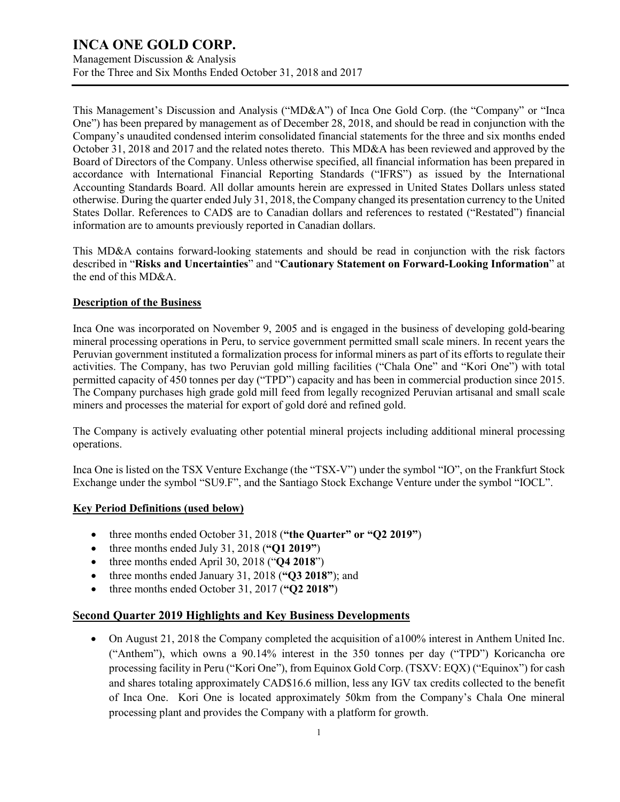Management Discussion & Analysis For the Three and Six Months Ended October 31, 2018 and 2017

This Management's Discussion and Analysis ("MD&A") of Inca One Gold Corp. (the "Company" or "Inca One") has been prepared by management as of December 28, 2018, and should be read in conjunction with the Company's unaudited condensed interim consolidated financial statements for the three and six months ended October 31, 2018 and 2017 and the related notes thereto. This MD&A has been reviewed and approved by the Board of Directors of the Company. Unless otherwise specified, all financial information has been prepared in accordance with International Financial Reporting Standards ("IFRS") as issued by the International Accounting Standards Board. All dollar amounts herein are expressed in United States Dollars unless stated otherwise. During the quarter ended July 31, 2018, the Company changed its presentation currency to the United States Dollar. References to CAD\$ are to Canadian dollars and references to restated ("Restated") financial information are to amounts previously reported in Canadian dollars.

This MD&A contains forward-looking statements and should be read in conjunction with the risk factors described in "**Risks and Uncertainties**" and "**Cautionary Statement on Forward-Looking Information**" at the end of this MD&A.

## **Description of the Business**

Inca One was incorporated on November 9, 2005 and is engaged in the business of developing gold-bearing mineral processing operations in Peru, to service government permitted small scale miners. In recent years the Peruvian government instituted a formalization process for informal miners as part of its efforts to regulate their activities. The Company, has two Peruvian gold milling facilities ("Chala One" and "Kori One") with total permitted capacity of 450 tonnes per day ("TPD") capacity and has been in commercial production since 2015. The Company purchases high grade gold mill feed from legally recognized Peruvian artisanal and small scale miners and processes the material for export of gold doré and refined gold.

The Company is actively evaluating other potential mineral projects including additional mineral processing operations.

Inca One is listed on the TSX Venture Exchange (the "TSX-V") under the symbol "IO", on the Frankfurt Stock Exchange under the symbol "SU9.F", and the Santiago Stock Exchange Venture under the symbol "IOCL".

### **Key Period Definitions (used below)**

- three months ended October 31, 2018 (**"the Quarter" or "Q2 2019"**)
- three months ended July 31, 2018 (**"Q1 2019"**)
- three months ended April 30, 2018 ("**Q4 2018**")
- three months ended January 31, 2018 (**"Q3 2018"**); and
- three months ended October 31, 2017 (**"Q2 2018"**)

## **Second Quarter 2019 Highlights and Key Business Developments**

• On August 21, 2018 the Company completed the acquisition of a100% interest in Anthem United Inc. ("Anthem"), which owns a 90.14% interest in the 350 tonnes per day ("TPD") Koricancha ore processing facility in Peru ("Kori One"), from Equinox Gold Corp. (TSXV: EQX) ("Equinox") for cash and shares totaling approximately CAD\$16.6 million, less any IGV tax credits collected to the benefit of Inca One. Kori One is located approximately 50km from the Company's Chala One mineral processing plant and provides the Company with a platform for growth.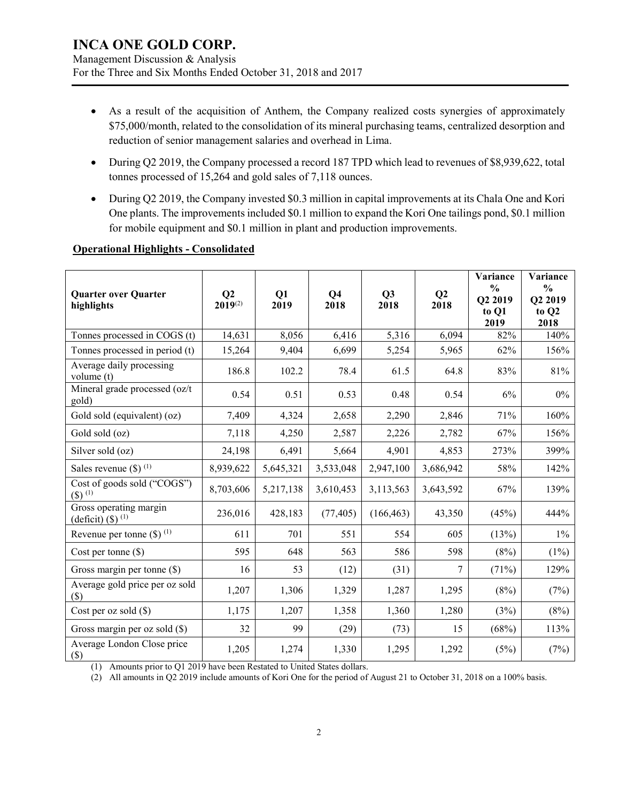Management Discussion & Analysis For the Three and Six Months Ended October 31, 2018 and 2017

- As a result of the acquisition of Anthem, the Company realized costs synergies of approximately \$75,000/month, related to the consolidation of its mineral purchasing teams, centralized desorption and reduction of senior management salaries and overhead in Lima.
- During Q2 2019, the Company processed a record 187 TPD which lead to revenues of \$8,939,622, total tonnes processed of 15,264 and gold sales of 7,118 ounces.
- During Q2 2019, the Company invested \$0.3 million in capital improvements at its Chala One and Kori One plants. The improvements included \$0.1 million to expand the Kori One tailings pond, \$0.1 million for mobile equipment and \$0.1 million in plant and production improvements.

| <b>Quarter over Quarter</b><br>highlights                   | Q2<br>$2019^{(2)}$ | Q1<br>2019 | Q <sub>4</sub><br>2018 | Q3<br>2018 | Q <sub>2</sub><br>2018 | Variance<br>$\frac{0}{0}$<br>Q2 2019<br>to Q1<br>2019 | Variance<br>$\frac{0}{0}$<br>Q2 2019<br>to Q2<br>2018 |
|-------------------------------------------------------------|--------------------|------------|------------------------|------------|------------------------|-------------------------------------------------------|-------------------------------------------------------|
| Tonnes processed in COGS (t)                                | 14,631             | 8,056      | 6,416                  | 5,316      | 6,094                  | 82%                                                   | 140%                                                  |
| Tonnes processed in period (t)                              | 15,264             | 9,404      | 6,699                  | 5,254      | 5,965                  | 62%                                                   | 156%                                                  |
| Average daily processing<br>volume (t)                      | 186.8              | 102.2      | 78.4                   | 61.5       | 64.8                   | 83%                                                   | 81%                                                   |
| Mineral grade processed (oz/t<br>gold)                      | 0.54               | 0.51       | 0.53                   | 0.48       | 0.54                   | 6%                                                    | $0\%$                                                 |
| Gold sold (equivalent) (oz)                                 | 7,409              | 4,324      | 2,658                  | 2,290      | 2,846                  | 71%                                                   | 160%                                                  |
| Gold sold (oz)                                              | 7,118              | 4,250      | 2,587                  | 2,226      | 2,782                  | 67%                                                   | 156%                                                  |
| Silver sold (oz)                                            | 24,198             | 6,491      | 5,664                  | 4,901      | 4,853                  | 273%                                                  | 399%                                                  |
| Sales revenue $(\$)$ <sup>(1)</sup>                         | 8,939,622          | 5,645,321  | 3,533,048              | 2,947,100  | 3,686,942              | 58%                                                   | 142%                                                  |
| Cost of goods sold ("COGS")<br>$($ \$) $^{(1)}$             | 8,703,606          | 5,217,138  | 3,610,453              | 3,113,563  | 3,643,592              | 67%                                                   | 139%                                                  |
| Gross operating margin<br>$\frac{\text{(deficit)} (\$)}{)}$ | 236,016            | 428,183    | (77, 405)              | (166, 463) | 43,350                 | (45%)                                                 | 444%                                                  |
| Revenue per tonne $(\$)$ <sup>(1)</sup>                     | 611                | 701        | 551                    | 554        | 605                    | (13%)                                                 | $1\%$                                                 |
| Cost per tonne $(\$)$                                       | 595                | 648        | 563                    | 586        | 598                    | (8%)                                                  | $(1\%)$                                               |
| Gross margin per tonne (\$)                                 | 16                 | 53         | (12)                   | (31)       | 7                      | (71%)                                                 | 129%                                                  |
| Average gold price per oz sold<br>$(\$)$                    | 1,207              | 1,306      | 1,329                  | 1,287      | 1,295                  | (8%)                                                  | (7%)                                                  |
| Cost per oz sold (\$)                                       | 1,175              | 1,207      | 1,358                  | 1,360      | 1,280                  | (3%)                                                  | (8%)                                                  |
| Gross margin per oz sold $(\$)$                             | 32                 | 99         | (29)                   | (73)       | 15                     | (68%)                                                 | 113%                                                  |
| Average London Close price<br>$(\$\)$                       | 1,205              | 1,274      | 1,330                  | 1,295      | 1,292                  | (5%)                                                  | (7%)                                                  |

### **Operational Highlights - Consolidated**

(1) Amounts prior to Q1 2019 have been Restated to United States dollars.

(2) All amounts in Q2 2019 include amounts of Kori One for the period of August 21 to October 31, 2018 on a 100% basis.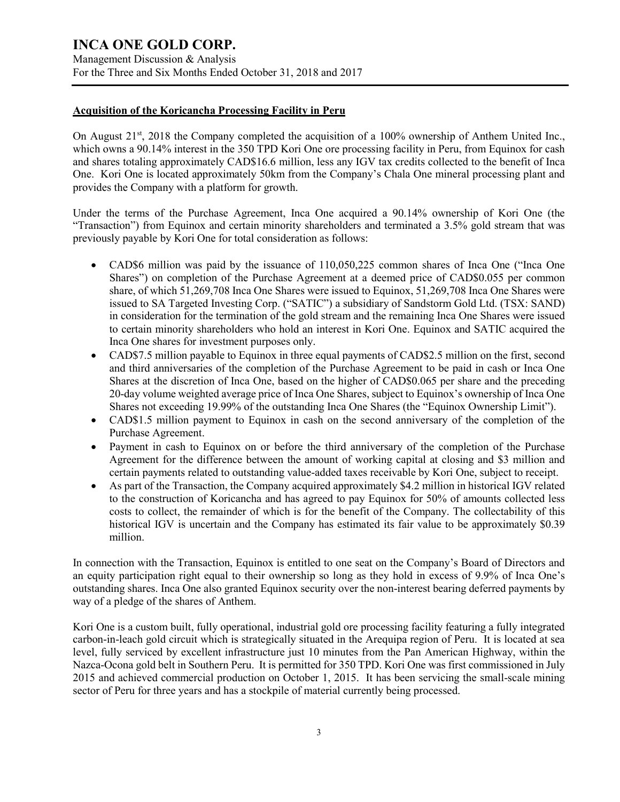Management Discussion & Analysis For the Three and Six Months Ended October 31, 2018 and 2017

#### **Acquisition of the Koricancha Processing Facility in Peru**

On August 21<sup>st</sup>, 2018 the Company completed the acquisition of a 100% ownership of Anthem United Inc., which owns a 90.14% interest in the 350 TPD Kori One ore processing facility in Peru, from Equinox for cash and shares totaling approximately CAD\$16.6 million, less any IGV tax credits collected to the benefit of Inca One. Kori One is located approximately 50km from the Company's Chala One mineral processing plant and provides the Company with a platform for growth.

Under the terms of the Purchase Agreement, Inca One acquired a 90.14% ownership of Kori One (the "Transaction") from Equinox and certain minority shareholders and terminated a 3.5% gold stream that was previously payable by Kori One for total consideration as follows:

- CAD\$6 million was paid by the issuance of 110,050,225 common shares of Inca One ("Inca One Shares") on completion of the Purchase Agreement at a deemed price of CAD\$0.055 per common share, of which 51,269,708 Inca One Shares were issued to Equinox, 51,269,708 Inca One Shares were issued to SA Targeted Investing Corp. ("SATIC") a subsidiary of Sandstorm Gold Ltd. (TSX: SAND) in consideration for the termination of the gold stream and the remaining Inca One Shares were issued to certain minority shareholders who hold an interest in Kori One. Equinox and SATIC acquired the Inca One shares for investment purposes only.
- CAD\$7.5 million payable to Equinox in three equal payments of CAD\$2.5 million on the first, second and third anniversaries of the completion of the Purchase Agreement to be paid in cash or Inca One Shares at the discretion of Inca One, based on the higher of CAD\$0.065 per share and the preceding 20-day volume weighted average price of Inca One Shares, subject to Equinox's ownership of Inca One Shares not exceeding 19.99% of the outstanding Inca One Shares (the "Equinox Ownership Limit").
- CAD\$1.5 million payment to Equinox in cash on the second anniversary of the completion of the Purchase Agreement.
- Payment in cash to Equinox on or before the third anniversary of the completion of the Purchase Agreement for the difference between the amount of working capital at closing and \$3 million and certain payments related to outstanding value-added taxes receivable by Kori One, subject to receipt.
- As part of the Transaction, the Company acquired approximately \$4.2 million in historical IGV related to the construction of Koricancha and has agreed to pay Equinox for 50% of amounts collected less costs to collect, the remainder of which is for the benefit of the Company. The collectability of this historical IGV is uncertain and the Company has estimated its fair value to be approximately \$0.39 million.

In connection with the Transaction, Equinox is entitled to one seat on the Company's Board of Directors and an equity participation right equal to their ownership so long as they hold in excess of 9.9% of Inca One's outstanding shares. Inca One also granted Equinox security over the non-interest bearing deferred payments by way of a pledge of the shares of Anthem.

Kori One is a custom built, fully operational, industrial gold ore processing facility featuring a fully integrated carbon-in-leach gold circuit which is strategically situated in the Arequipa region of Peru. It is located at sea level, fully serviced by excellent infrastructure just 10 minutes from the Pan American Highway, within the Nazca-Ocona gold belt in Southern Peru. It is permitted for 350 TPD. Kori One was first commissioned in July 2015 and achieved commercial production on October 1, 2015. It has been servicing the small-scale mining sector of Peru for three years and has a stockpile of material currently being processed.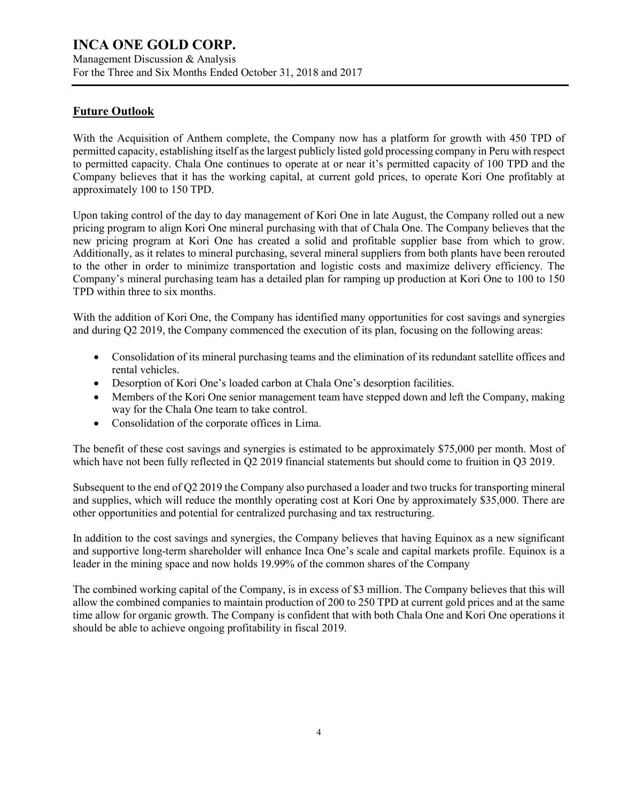Management Discussion & Analysis For the Three and Six Months Ended October 31, 2018 and 2017

# **Future Outlook**

With the Acquisition of Anthem complete, the Company now has a platform for growth with 450 TPD of permitted capacity, establishing itself as the largest publicly listed gold processing company in Peru with respect to permitted capacity. Chala One continues to operate at or near it's permitted capacity of 100 TPD and the Company believes that it has the working capital, at current gold prices, to operate Kori One profitably at approximately 100 to 150 TPD.

Upon taking control of the day to day management of Kori One in late August, the Company rolled out a new pricing program to align Kori One mineral purchasing with that of Chala One. The Company believes that the new pricing program at Kori One has created a solid and profitable supplier base from which to grow. Additionally, as it relates to mineral purchasing, several mineral suppliers from both plants have been rerouted to the other in order to minimize transportation and logistic costs and maximize delivery efficiency. The Company's mineral purchasing team has a detailed plan for ramping up production at Kori One to 100 to 150 TPD within three to six months.

With the addition of Kori One, the Company has identified many opportunities for cost savings and synergies and during Q2 2019, the Company commenced the execution of its plan, focusing on the following areas:

- Consolidation of its mineral purchasing teams and the elimination of its redundant satellite offices and rental vehicles.
- Desorption of Kori One's loaded carbon at Chala One's desorption facilities.
- Members of the Kori One senior management team have stepped down and left the Company, making way for the Chala One team to take control.
- Consolidation of the corporate offices in Lima.

The benefit of these cost savings and synergies is estimated to be approximately \$75,000 per month. Most of which have not been fully reflected in Q2 2019 financial statements but should come to fruition in Q3 2019.

Subsequent to the end of Q2 2019 the Company also purchased a loader and two trucks for transporting mineral and supplies, which will reduce the monthly operating cost at Kori One by approximately \$35,000. There are other opportunities and potential for centralized purchasing and tax restructuring.

In addition to the cost savings and synergies, the Company believes that having Equinox as a new significant and supportive long-term shareholder will enhance Inca One's scale and capital markets profile. Equinox is a leader in the mining space and now holds 19.99% of the common shares of the Company

The combined working capital of the Company, is in excess of \$3 million. The Company believes that this will allow the combined companies to maintain production of 200 to 250 TPD at current gold prices and at the same time allow for organic growth. The Company is confident that with both Chala One and Kori One operations it should be able to achieve ongoing profitability in fiscal 2019.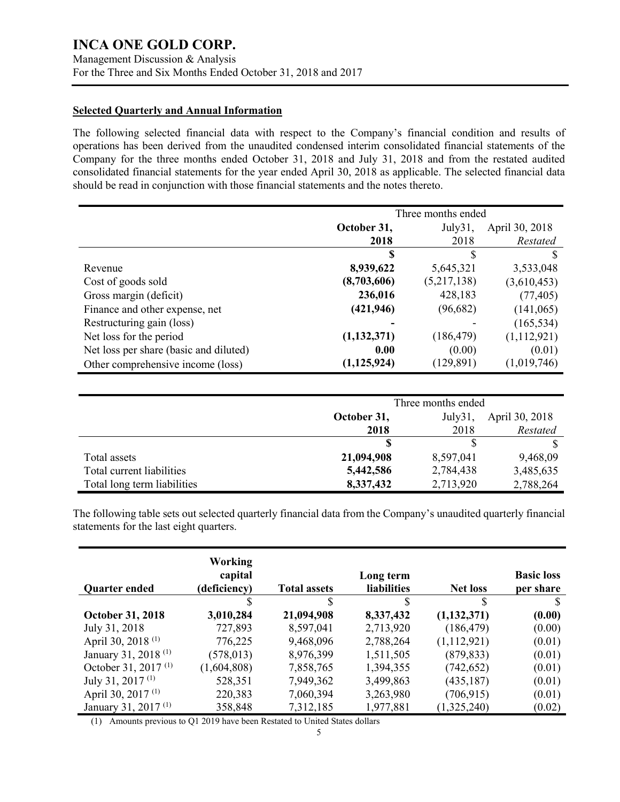### **Selected Quarterly and Annual Information**

The following selected financial data with respect to the Company's financial condition and results of operations has been derived from the unaudited condensed interim consolidated financial statements of the Company for the three months ended October 31, 2018 and July 31, 2018 and from the restated audited consolidated financial statements for the year ended April 30, 2018 as applicable. The selected financial data should be read in conjunction with those financial statements and the notes thereto.

|                                        | Three months ended |             |                |  |
|----------------------------------------|--------------------|-------------|----------------|--|
|                                        | October 31,        | July31,     | April 30, 2018 |  |
|                                        | 2018               | 2018        | Restated       |  |
|                                        | S                  | \$.         |                |  |
| Revenue                                | 8,939,622          | 5,645,321   | 3,533,048      |  |
| Cost of goods sold                     | (8,703,606)        | (5,217,138) | (3,610,453)    |  |
| Gross margin (deficit)                 | 236,016            | 428,183     | (77, 405)      |  |
| Finance and other expense, net         | (421, 946)         | (96, 682)   | (141,065)      |  |
| Restructuring gain (loss)              |                    |             | (165, 534)     |  |
| Net loss for the period                | (1,132,371)        | (186, 479)  | (1,112,921)    |  |
| Net loss per share (basic and diluted) | 0.00               | (0.00)      | (0.01)         |  |
| Other comprehensive income (loss)      | (1, 125, 924)      | (129, 891)  | (1,019,746)    |  |

|                             | Three months ended                       |           |           |  |
|-----------------------------|------------------------------------------|-----------|-----------|--|
|                             | April 30, 2018<br>October 31,<br>July31, |           |           |  |
|                             | 2018                                     | 2018      | Restated  |  |
|                             |                                          |           |           |  |
| Total assets                | 21,094,908                               | 8,597,041 | 9,468,09  |  |
| Total current liabilities   | 5,442,586                                | 2,784,438 | 3,485,635 |  |
| Total long term liabilities | 8,337,432                                | 2,713,920 | 2,788,264 |  |

The following table sets out selected quarterly financial data from the Company's unaudited quarterly financial statements for the last eight quarters.

| <b>Quarter ended</b>            | <b>Working</b><br>capital<br>(deficiency) | <b>Total assets</b> | Long term<br><b>liabilities</b> | <b>Net loss</b> | <b>Basic loss</b><br>per share |
|---------------------------------|-------------------------------------------|---------------------|---------------------------------|-----------------|--------------------------------|
|                                 | S                                         | S                   | \$                              | S               |                                |
| <b>October 31, 2018</b>         | 3,010,284                                 | 21,094,908          | 8,337,432                       | (1,132,371)     | (0.00)                         |
| July 31, 2018                   | 727,893                                   | 8,597,041           | 2,713,920                       | (186, 479)      | (0.00)                         |
| April 30, 2018 <sup>(1)</sup>   | 776,225                                   | 9,468,096           | 2,788,264                       | (1,112,921)     | (0.01)                         |
| January 31, 2018 <sup>(1)</sup> | (578, 013)                                | 8,976,399           | 1,511,505                       | (879, 833)      | (0.01)                         |
| October 31, 2017 $(1)$          | (1,604,808)                               | 7,858,765           | 1,394,355                       | (742, 652)      | (0.01)                         |
| July 31, 2017 $(1)$             | 528,351                                   | 7,949,362           | 3,499,863                       | (435, 187)      | (0.01)                         |
| April 30, 2017 <sup>(1)</sup>   | 220,383                                   | 7,060,394           | 3,263,980                       | (706, 915)      | (0.01)                         |
| January 31, 2017 <sup>(1)</sup> | 358,848                                   | 7,312,185           | 1,977,881                       | (1,325,240)     | (0.02)                         |

(1) Amounts previous to Q1 2019 have been Restated to United States dollars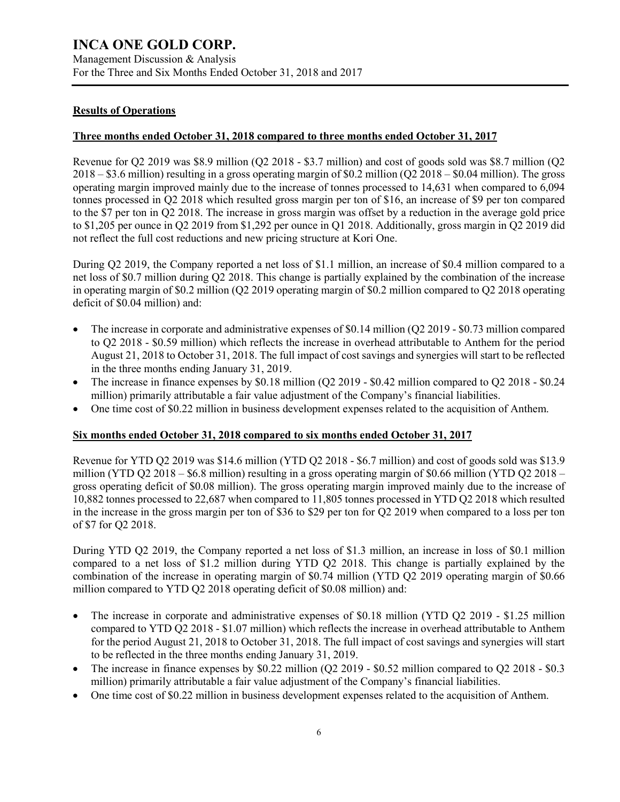## **Results of Operations**

#### **Three months ended October 31, 2018 compared to three months ended October 31, 2017**

Revenue for Q2 2019 was \$8.9 million (Q2 2018 - \$3.7 million) and cost of goods sold was \$8.7 million (Q2 2018 – \$3.6 million) resulting in a gross operating margin of \$0.2 million (Q2 2018 – \$0.04 million). The gross operating margin improved mainly due to the increase of tonnes processed to 14,631 when compared to 6,094 tonnes processed in Q2 2018 which resulted gross margin per ton of \$16, an increase of \$9 per ton compared to the \$7 per ton in Q2 2018. The increase in gross margin was offset by a reduction in the average gold price to \$1,205 per ounce in Q2 2019 from \$1,292 per ounce in Q1 2018. Additionally, gross margin in Q2 2019 did not reflect the full cost reductions and new pricing structure at Kori One.

During Q2 2019, the Company reported a net loss of \$1.1 million, an increase of \$0.4 million compared to a net loss of \$0.7 million during Q2 2018. This change is partially explained by the combination of the increase in operating margin of \$0.2 million (Q2 2019 operating margin of \$0.2 million compared to Q2 2018 operating deficit of \$0.04 million) and:

- The increase in corporate and administrative expenses of \$0.14 million (Q2 2019 \$0.73 million compared to Q2 2018 - \$0.59 million) which reflects the increase in overhead attributable to Anthem for the period August 21, 2018 to October 31, 2018. The full impact of cost savings and synergies will start to be reflected in the three months ending January 31, 2019.
- The increase in finance expenses by \$0.18 million (Q2 2019 \$0.42 million compared to Q2 2018 \$0.24 million) primarily attributable a fair value adjustment of the Company's financial liabilities.
- One time cost of \$0.22 million in business development expenses related to the acquisition of Anthem.

#### **Six months ended October 31, 2018 compared to six months ended October 31, 2017**

Revenue for YTD Q2 2019 was \$14.6 million (YTD Q2 2018 - \$6.7 million) and cost of goods sold was \$13.9 million (YTD Q2 2018 –  $$6.8$  million) resulting in a gross operating margin of \$0.66 million (YTD Q2 2018 – gross operating deficit of \$0.08 million). The gross operating margin improved mainly due to the increase of 10,882 tonnes processed to 22,687 when compared to 11,805 tonnes processed in YTD Q2 2018 which resulted in the increase in the gross margin per ton of \$36 to \$29 per ton for Q2 2019 when compared to a loss per ton of \$7 for Q2 2018.

During YTD Q2 2019, the Company reported a net loss of \$1.3 million, an increase in loss of \$0.1 million compared to a net loss of \$1.2 million during YTD Q2 2018. This change is partially explained by the combination of the increase in operating margin of \$0.74 million (YTD Q2 2019 operating margin of \$0.66 million compared to YTD Q2 2018 operating deficit of \$0.08 million) and:

- The increase in corporate and administrative expenses of \$0.18 million (YTD Q2 2019 \$1.25 million compared to YTD Q2 2018 - \$1.07 million) which reflects the increase in overhead attributable to Anthem for the period August 21, 2018 to October 31, 2018. The full impact of cost savings and synergies will start to be reflected in the three months ending January 31, 2019.
- The increase in finance expenses by \$0.22 million (Q2 2019 \$0.52 million compared to Q2 2018 \$0.3 million) primarily attributable a fair value adjustment of the Company's financial liabilities.
- One time cost of \$0.22 million in business development expenses related to the acquisition of Anthem.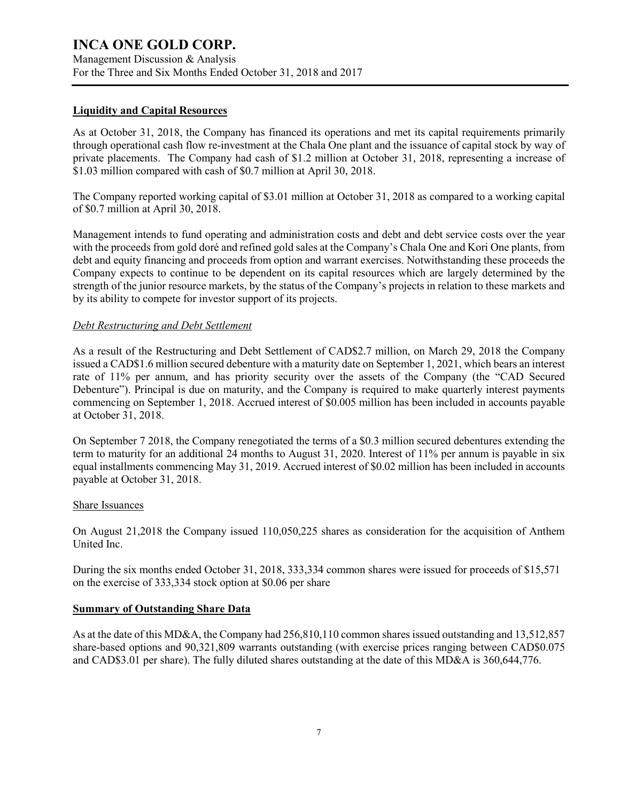Management Discussion & Analysis For the Three and Six Months Ended October 31, 2018 and 2017

#### **Liquidity and Capital Resources**

As at October 31, 2018, the Company has financed its operations and met its capital requirements primarily through operational cash flow re-investment at the Chala One plant and the issuance of capital stock by way of private placements. The Company had cash of \$1.2 million at October 31, 2018, representing a increase of \$1.03 million compared with cash of \$0.7 million at April 30, 2018.

The Company reported working capital of \$3.01 million at October 31, 2018 as compared to a working capital of \$0.7 million at April 30, 2018.

Management intends to fund operating and administration costs and debt and debt service costs over the year with the proceeds from gold doré and refined gold sales at the Company's Chala One and Kori One plants, from debt and equity financing and proceeds from option and warrant exercises. Notwithstanding these proceeds the Company expects to continue to be dependent on its capital resources which are largely determined by the strength of the junior resource markets, by the status of the Company's projects in relation to these markets and by its ability to compete for investor support of its projects.

#### *Debt Restructuring and Debt Settlement*

As a result of the Restructuring and Debt Settlement of CAD\$2.7 million, on March 29, 2018 the Company issued a CAD\$1.6 million secured debenture with a maturity date on September 1, 2021, which bears an interest rate of 11% per annum, and has priority security over the assets of the Company (the "CAD Secured Debenture"). Principal is due on maturity, and the Company is required to make quarterly interest payments commencing on September 1, 2018. Accrued interest of \$0.005 million has been included in accounts payable at October 31, 2018.

On September 7 2018, the Company renegotiated the terms of a \$0.3 million secured debentures extending the term to maturity for an additional 24 months to August 31, 2020. Interest of 11% per annum is payable in six equal installments commencing May 31, 2019. Accrued interest of \$0.02 million has been included in accounts payable at October 31, 2018.

#### Share Issuances

On August 21,2018 the Company issued 110,050,225 shares as consideration for the acquisition of Anthem United Inc.

During the six months ended October 31, 2018, 333,334 common shares were issued for proceeds of \$15,571 on the exercise of 333,334 stock option at \$0.06 per share

#### **Summary of Outstanding Share Data**

As at the date of this MD&A, the Company had 256,810,110 common shares issued outstanding and 13,512,857 share-based options and 90,321,809 warrants outstanding (with exercise prices ranging between CAD\$0.075 and CAD\$3.01 per share). The fully diluted shares outstanding at the date of this MD&A is 360,644,776.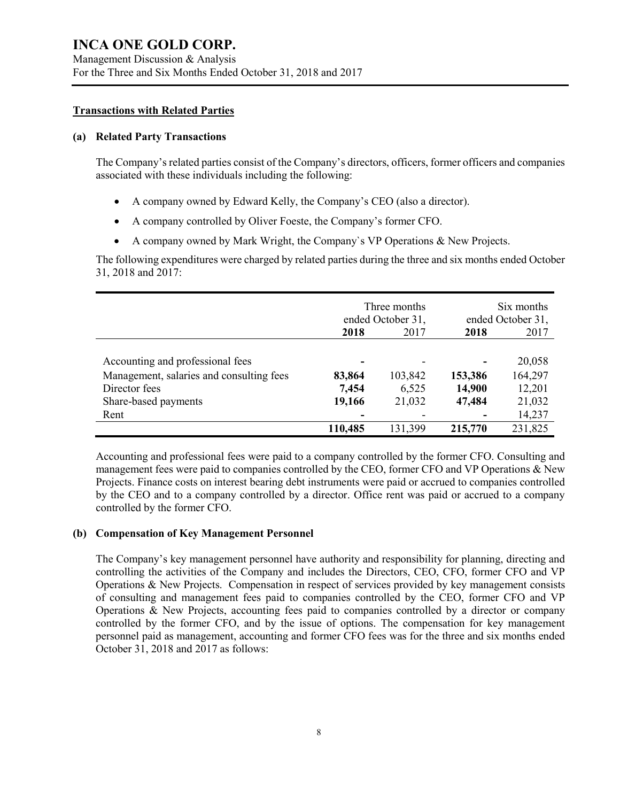### **Transactions with Related Parties**

#### **(a) Related Party Transactions**

The Company's related parties consist of the Company's directors, officers, former officers and companies associated with these individuals including the following:

- A company owned by Edward Kelly, the Company's CEO (also a director).
- A company controlled by Oliver Foeste, the Company's former CFO.
- A company owned by Mark Wright, the Company`s VP Operations & New Projects.

The following expenditures were charged by related parties during the three and six months ended October 31, 2018 and 2017:

|                                          | Three months<br>ended October 31, |         | Six months<br>ended October 31, |         |
|------------------------------------------|-----------------------------------|---------|---------------------------------|---------|
|                                          | 2018                              | 2017    | 2018                            | 2017    |
|                                          |                                   |         |                                 |         |
| Accounting and professional fees         |                                   |         |                                 | 20,058  |
| Management, salaries and consulting fees | 83,864                            | 103,842 | 153,386                         | 164,297 |
| Director fees                            | 7,454                             | 6,525   | 14,900                          | 12,201  |
| Share-based payments                     | 19,166                            | 21,032  | 47,484                          | 21,032  |
| Rent                                     |                                   |         |                                 | 14,237  |
|                                          | 110,485                           | 131,399 | 215,770                         | 231,825 |

Accounting and professional fees were paid to a company controlled by the former CFO. Consulting and management fees were paid to companies controlled by the CEO, former CFO and VP Operations & New Projects. Finance costs on interest bearing debt instruments were paid or accrued to companies controlled by the CEO and to a company controlled by a director. Office rent was paid or accrued to a company controlled by the former CFO.

### **(b) Compensation of Key Management Personnel**

The Company's key management personnel have authority and responsibility for planning, directing and controlling the activities of the Company and includes the Directors, CEO, CFO, former CFO and VP Operations & New Projects. Compensation in respect of services provided by key management consists of consulting and management fees paid to companies controlled by the CEO, former CFO and VP Operations & New Projects, accounting fees paid to companies controlled by a director or company controlled by the former CFO, and by the issue of options. The compensation for key management personnel paid as management, accounting and former CFO fees was for the three and six months ended October 31, 2018 and 2017 as follows: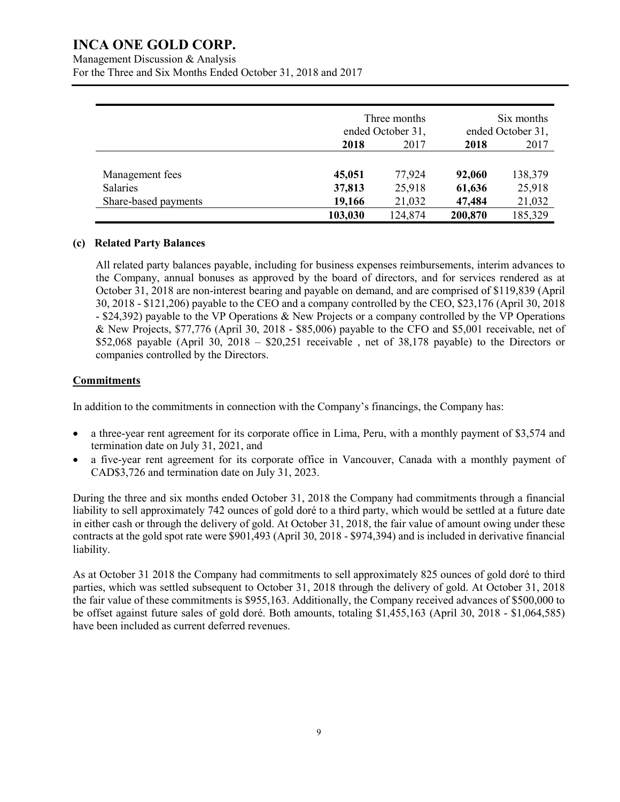Management Discussion & Analysis

For the Three and Six Months Ended October 31, 2018 and 2017

|                      |         | Three months<br>ended October 31, |         | Six months<br>ended October 31, |  |
|----------------------|---------|-----------------------------------|---------|---------------------------------|--|
|                      | 2018    | 2017                              | 2018    | 2017                            |  |
| Management fees      | 45,051  | 77,924                            | 92,060  | 138,379                         |  |
| <b>Salaries</b>      | 37,813  | 25,918                            | 61,636  | 25,918                          |  |
| Share-based payments | 19,166  | 21,032                            | 47,484  | 21,032                          |  |
|                      | 103,030 | 124,874                           | 200,870 | 185,329                         |  |

#### **(c) Related Party Balances**

All related party balances payable, including for business expenses reimbursements, interim advances to the Company, annual bonuses as approved by the board of directors, and for services rendered as at October 31, 2018 are non-interest bearing and payable on demand, and are comprised of \$119,839 (April 30, 2018 - \$121,206) payable to the CEO and a company controlled by the CEO, \$23,176 (April 30, 2018 - \$24,392) payable to the VP Operations & New Projects or a company controlled by the VP Operations & New Projects, \$77,776 (April 30, 2018 - \$85,006) payable to the CFO and \$5,001 receivable, net of \$52,068 payable (April 30, 2018 –  $$20,251$  receivable, net of 38,178 payable) to the Directors or companies controlled by the Directors.

### **Commitments**

In addition to the commitments in connection with the Company's financings, the Company has:

- a three-year rent agreement for its corporate office in Lima, Peru, with a monthly payment of \$3,574 and termination date on July 31, 2021, and
- a five-year rent agreement for its corporate office in Vancouver, Canada with a monthly payment of CAD\$3,726 and termination date on July 31, 2023.

During the three and six months ended October 31, 2018 the Company had commitments through a financial liability to sell approximately 742 ounces of gold doré to a third party, which would be settled at a future date in either cash or through the delivery of gold. At October 31, 2018, the fair value of amount owing under these contracts at the gold spot rate were \$901,493 (April 30, 2018 - \$974,394) and is included in derivative financial liability.

As at October 31 2018 the Company had commitments to sell approximately 825 ounces of gold doré to third parties, which was settled subsequent to October 31, 2018 through the delivery of gold. At October 31, 2018 the fair value of these commitments is \$955,163. Additionally, the Company received advances of \$500,000 to be offset against future sales of gold doré. Both amounts, totaling \$1,455,163 (April 30, 2018 - \$1,064,585) have been included as current deferred revenues.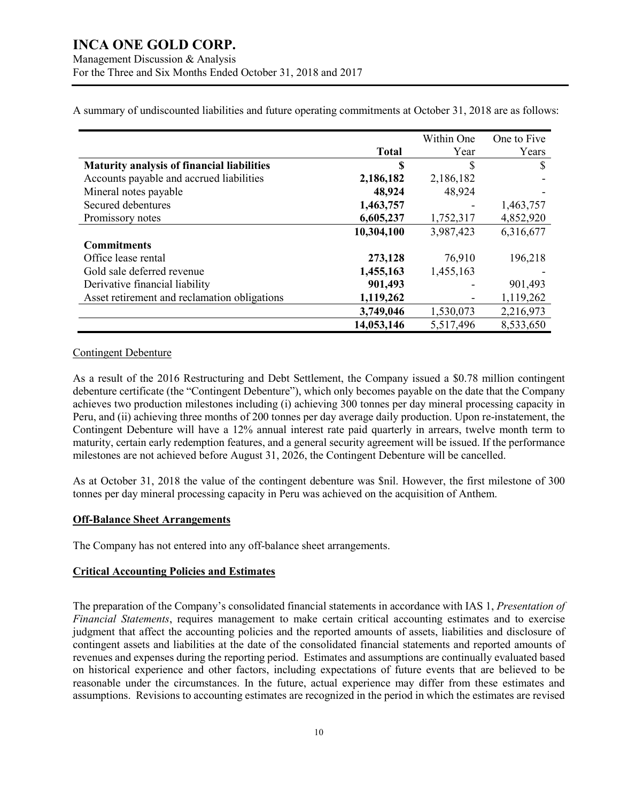|                                                   |              | Within One | One to Five |
|---------------------------------------------------|--------------|------------|-------------|
|                                                   | <b>Total</b> | Year       | Years       |
| <b>Maturity analysis of financial liabilities</b> | \$           | \$         | \$          |
| Accounts payable and accrued liabilities          | 2,186,182    | 2,186,182  |             |
| Mineral notes payable                             | 48,924       | 48,924     |             |
| Secured debentures                                | 1,463,757    |            | 1,463,757   |
| Promissory notes                                  | 6,605,237    | 1,752,317  | 4,852,920   |
|                                                   | 10,304,100   | 3,987,423  | 6,316,677   |
| <b>Commitments</b>                                |              |            |             |
| Office lease rental                               | 273,128      | 76,910     | 196,218     |
| Gold sale deferred revenue                        | 1,455,163    | 1,455,163  |             |
| Derivative financial liability                    | 901,493      |            | 901,493     |
| Asset retirement and reclamation obligations      | 1,119,262    |            | 1,119,262   |
|                                                   | 3,749,046    | 1,530,073  | 2,216,973   |
|                                                   | 14,053,146   | 5,517,496  | 8,533,650   |

A summary of undiscounted liabilities and future operating commitments at October 31, 2018 are as follows:

#### Contingent Debenture

As a result of the 2016 Restructuring and Debt Settlement, the Company issued a \$0.78 million contingent debenture certificate (the "Contingent Debenture"), which only becomes payable on the date that the Company achieves two production milestones including (i) achieving 300 tonnes per day mineral processing capacity in Peru, and (ii) achieving three months of 200 tonnes per day average daily production. Upon re-instatement, the Contingent Debenture will have a 12% annual interest rate paid quarterly in arrears, twelve month term to maturity, certain early redemption features, and a general security agreement will be issued. If the performance milestones are not achieved before August 31, 2026, the Contingent Debenture will be cancelled.

As at October 31, 2018 the value of the contingent debenture was \$nil. However, the first milestone of 300 tonnes per day mineral processing capacity in Peru was achieved on the acquisition of Anthem.

### **Off-Balance Sheet Arrangements**

The Company has not entered into any off-balance sheet arrangements.

### **Critical Accounting Policies and Estimates**

The preparation of the Company's consolidated financial statements in accordance with IAS 1, *Presentation of Financial Statements*, requires management to make certain critical accounting estimates and to exercise judgment that affect the accounting policies and the reported amounts of assets, liabilities and disclosure of contingent assets and liabilities at the date of the consolidated financial statements and reported amounts of revenues and expenses during the reporting period. Estimates and assumptions are continually evaluated based on historical experience and other factors, including expectations of future events that are believed to be reasonable under the circumstances. In the future, actual experience may differ from these estimates and assumptions. Revisions to accounting estimates are recognized in the period in which the estimates are revised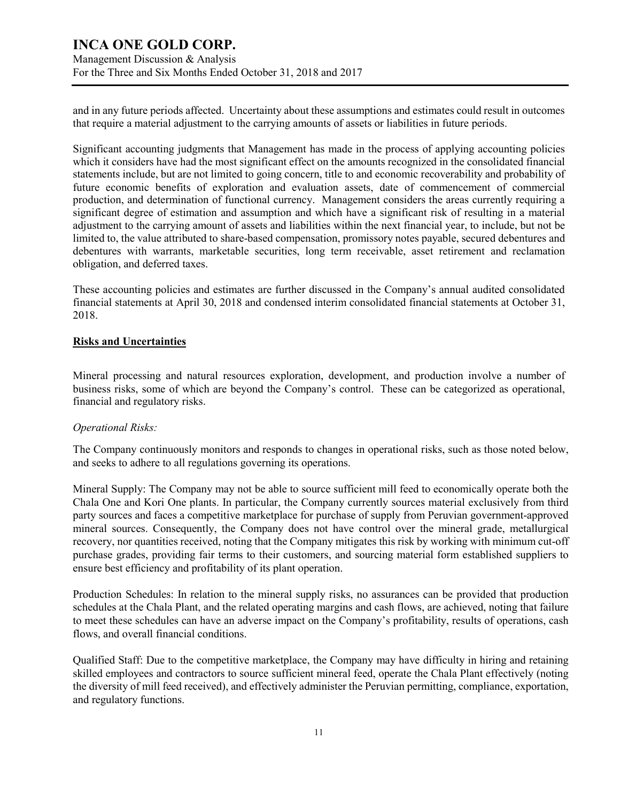Management Discussion & Analysis For the Three and Six Months Ended October 31, 2018 and 2017

and in any future periods affected. Uncertainty about these assumptions and estimates could result in outcomes that require a material adjustment to the carrying amounts of assets or liabilities in future periods.

Significant accounting judgments that Management has made in the process of applying accounting policies which it considers have had the most significant effect on the amounts recognized in the consolidated financial statements include, but are not limited to going concern, title to and economic recoverability and probability of future economic benefits of exploration and evaluation assets, date of commencement of commercial production, and determination of functional currency. Management considers the areas currently requiring a significant degree of estimation and assumption and which have a significant risk of resulting in a material adjustment to the carrying amount of assets and liabilities within the next financial year, to include, but not be limited to, the value attributed to share-based compensation, promissory notes payable, secured debentures and debentures with warrants, marketable securities, long term receivable, asset retirement and reclamation obligation, and deferred taxes.

These accounting policies and estimates are further discussed in the Company's annual audited consolidated financial statements at April 30, 2018 and condensed interim consolidated financial statements at October 31, 2018.

#### **Risks and Uncertainties**

Mineral processing and natural resources exploration, development, and production involve a number of business risks, some of which are beyond the Company's control. These can be categorized as operational, financial and regulatory risks.

#### *Operational Risks:*

The Company continuously monitors and responds to changes in operational risks, such as those noted below, and seeks to adhere to all regulations governing its operations.

Mineral Supply: The Company may not be able to source sufficient mill feed to economically operate both the Chala One and Kori One plants. In particular, the Company currently sources material exclusively from third party sources and faces a competitive marketplace for purchase of supply from Peruvian government-approved mineral sources. Consequently, the Company does not have control over the mineral grade, metallurgical recovery, nor quantities received, noting that the Company mitigates this risk by working with minimum cut-off purchase grades, providing fair terms to their customers, and sourcing material form established suppliers to ensure best efficiency and profitability of its plant operation.

Production Schedules: In relation to the mineral supply risks, no assurances can be provided that production schedules at the Chala Plant, and the related operating margins and cash flows, are achieved, noting that failure to meet these schedules can have an adverse impact on the Company's profitability, results of operations, cash flows, and overall financial conditions.

Qualified Staff: Due to the competitive marketplace, the Company may have difficulty in hiring and retaining skilled employees and contractors to source sufficient mineral feed, operate the Chala Plant effectively (noting the diversity of mill feed received), and effectively administer the Peruvian permitting, compliance, exportation, and regulatory functions.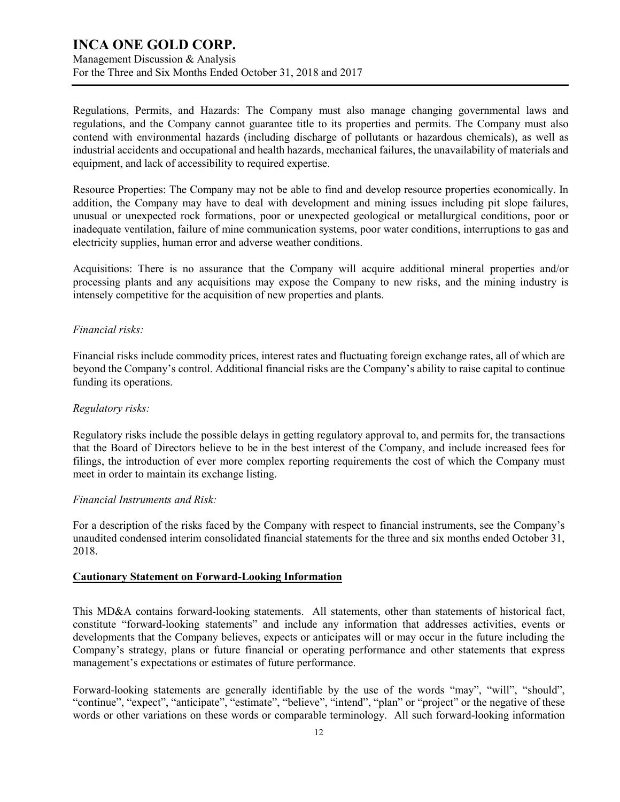Management Discussion & Analysis For the Three and Six Months Ended October 31, 2018 and 2017

Regulations, Permits, and Hazards: The Company must also manage changing governmental laws and regulations, and the Company cannot guarantee title to its properties and permits. The Company must also contend with environmental hazards (including discharge of pollutants or hazardous chemicals), as well as industrial accidents and occupational and health hazards, mechanical failures, the unavailability of materials and equipment, and lack of accessibility to required expertise.

Resource Properties: The Company may not be able to find and develop resource properties economically. In addition, the Company may have to deal with development and mining issues including pit slope failures, unusual or unexpected rock formations, poor or unexpected geological or metallurgical conditions, poor or inadequate ventilation, failure of mine communication systems, poor water conditions, interruptions to gas and electricity supplies, human error and adverse weather conditions.

Acquisitions: There is no assurance that the Company will acquire additional mineral properties and/or processing plants and any acquisitions may expose the Company to new risks, and the mining industry is intensely competitive for the acquisition of new properties and plants.

#### *Financial risks:*

Financial risks include commodity prices, interest rates and fluctuating foreign exchange rates, all of which are beyond the Company's control. Additional financial risks are the Company's ability to raise capital to continue funding its operations.

### *Regulatory risks:*

Regulatory risks include the possible delays in getting regulatory approval to, and permits for, the transactions that the Board of Directors believe to be in the best interest of the Company, and include increased fees for filings, the introduction of ever more complex reporting requirements the cost of which the Company must meet in order to maintain its exchange listing.

#### *Financial Instruments and Risk:*

For a description of the risks faced by the Company with respect to financial instruments, see the Company's unaudited condensed interim consolidated financial statements for the three and six months ended October 31, 2018.

#### **Cautionary Statement on Forward-Looking Information**

This MD&A contains forward-looking statements. All statements, other than statements of historical fact, constitute "forward-looking statements" and include any information that addresses activities, events or developments that the Company believes, expects or anticipates will or may occur in the future including the Company's strategy, plans or future financial or operating performance and other statements that express management's expectations or estimates of future performance.

Forward-looking statements are generally identifiable by the use of the words "may", "will", "should", "continue", "expect", "anticipate", "estimate", "believe", "intend", "plan" or "project" or the negative of these words or other variations on these words or comparable terminology. All such forward-looking information